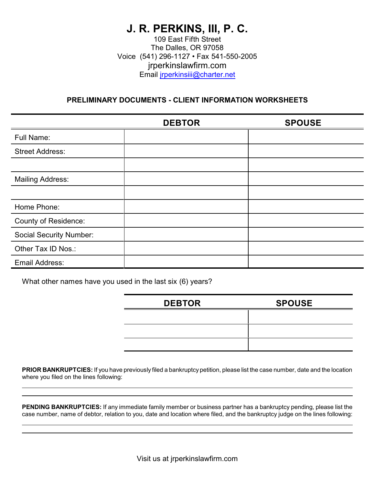# **J. R. PERKINS, III, P. C.**

109 East Fifth Street The Dalles, OR 97058 Voice (541) 296-1127 • Fax 541-550-2005 jrperkinslawfirm.com Email [jrperkinsiii@charter.net](mailto:jrperkinsiii@charter.net)

# **PRELIMINARY DOCUMENTS - CLIENT INFORMATION WORKSHEETS**

|                                | <b>DEBTOR</b> | <b>SPOUSE</b> |
|--------------------------------|---------------|---------------|
| <b>Full Name:</b>              |               |               |
| <b>Street Address:</b>         |               |               |
|                                |               |               |
| <b>Mailing Address:</b>        |               |               |
|                                |               |               |
| Home Phone:                    |               |               |
| <b>County of Residence:</b>    |               |               |
| <b>Social Security Number:</b> |               |               |
| Other Tax ID Nos.:             |               |               |
| Email Address:                 |               |               |

What other names have you used in the last six (6) years?

| <b>DEBTOR</b> | <b>SPOUSE</b> |
|---------------|---------------|
|               |               |
|               |               |
|               |               |

**PRIOR BANKRUPTCIES:** If you have previously filed a bankruptcy petition, please list the case number, date and the location where you filed on the lines following:

**PENDING BANKRUPTCIES:** If any immediate family member or business partner has a bankruptcy pending, please list the case number, name of debtor, relation to you, date and location where filed, and the bankruptcy judge on the lines following: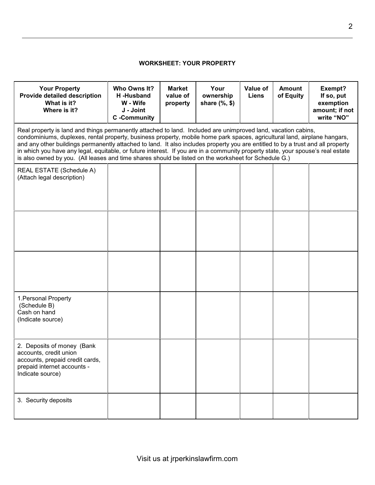# **WORKSHEET: YOUR PROPERTY**

| <b>Your Property</b><br>Provide detailed description<br>What is it?<br>Where is it?                                                                                                                                                                                                                                                                                                                                                                                                                                                                                                                                      | Who Owns It?<br>H-Husband<br>W - Wife<br>J - Joint<br><b>C</b> -Community | <b>Market</b><br>value of<br>property | Your<br>ownership<br>share $(\% , \$)$ | Value of<br><b>Liens</b> | <b>Amount</b><br>of Equity | Exempt?<br>If so, put<br>exemption<br>amount; if not<br>write "NO" |
|--------------------------------------------------------------------------------------------------------------------------------------------------------------------------------------------------------------------------------------------------------------------------------------------------------------------------------------------------------------------------------------------------------------------------------------------------------------------------------------------------------------------------------------------------------------------------------------------------------------------------|---------------------------------------------------------------------------|---------------------------------------|----------------------------------------|--------------------------|----------------------------|--------------------------------------------------------------------|
| Real property is land and things permanently attached to land. Included are unimproved land, vacation cabins,<br>condominiums, duplexes, rental property, business property, mobile home park spaces, agricultural land, airplane hangars,<br>and any other buildings permanently attached to land. It also includes property you are entitled to by a trust and all property<br>in which you have any legal, equitable, or future interest. If you are in a community property state, your spouse's real estate<br>is also owned by you. (All leases and time shares should be listed on the worksheet for Schedule G.) |                                                                           |                                       |                                        |                          |                            |                                                                    |
| REAL ESTATE (Schedule A)<br>(Attach legal description)                                                                                                                                                                                                                                                                                                                                                                                                                                                                                                                                                                   |                                                                           |                                       |                                        |                          |                            |                                                                    |
|                                                                                                                                                                                                                                                                                                                                                                                                                                                                                                                                                                                                                          |                                                                           |                                       |                                        |                          |                            |                                                                    |
|                                                                                                                                                                                                                                                                                                                                                                                                                                                                                                                                                                                                                          |                                                                           |                                       |                                        |                          |                            |                                                                    |
| 1. Personal Property<br>(Schedule B)<br>Cash on hand<br>(Indicate source)                                                                                                                                                                                                                                                                                                                                                                                                                                                                                                                                                |                                                                           |                                       |                                        |                          |                            |                                                                    |
| 2. Deposits of money (Bank<br>accounts, credit union<br>accounts, prepaid credit cards,<br>prepaid internet accounts -<br>Indicate source)                                                                                                                                                                                                                                                                                                                                                                                                                                                                               |                                                                           |                                       |                                        |                          |                            |                                                                    |
| 3. Security deposits                                                                                                                                                                                                                                                                                                                                                                                                                                                                                                                                                                                                     |                                                                           |                                       |                                        |                          |                            |                                                                    |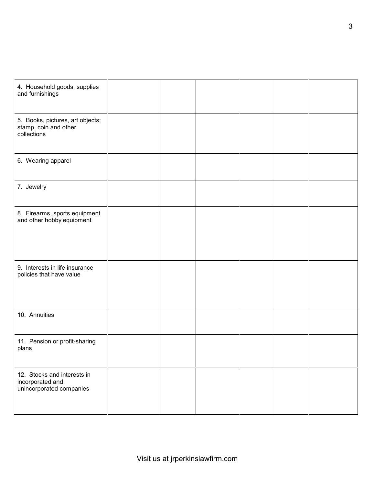| 4. Household goods, supplies<br>and furnishings                             |  |  |  |
|-----------------------------------------------------------------------------|--|--|--|
| 5. Books, pictures, art objects;<br>stamp, coin and other<br>collections    |  |  |  |
| 6. Wearing apparel                                                          |  |  |  |
| 7. Jewelry                                                                  |  |  |  |
| 8. Firearms, sports equipment<br>and other hobby equipment                  |  |  |  |
| 9. Interests in life insurance<br>policies that have value                  |  |  |  |
| 10. Annuities                                                               |  |  |  |
| 11. Pension or profit-sharing<br>plans                                      |  |  |  |
| 12. Stocks and interests in<br>incorporated and<br>unincorporated companies |  |  |  |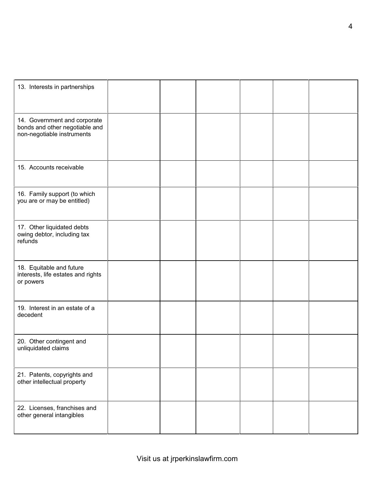| 13. Interests in partnerships                                                                |  |  |  |
|----------------------------------------------------------------------------------------------|--|--|--|
| 14. Government and corporate<br>bonds and other negotiable and<br>non-negotiable instruments |  |  |  |
| 15. Accounts receivable                                                                      |  |  |  |
| 16. Family support (to which<br>you are or may be entitled)                                  |  |  |  |
| 17. Other liquidated debts<br>owing debtor, including tax<br>refunds                         |  |  |  |
| 18. Equitable and future<br>interests, life estates and rights<br>or powers                  |  |  |  |
| 19. Interest in an estate of a<br>decedent                                                   |  |  |  |
| 20. Other contingent and<br>unliquidated claims                                              |  |  |  |
| 21. Patents, copyrights and<br>other intellectual property                                   |  |  |  |
| 22. Licenses, franchises and<br>other general intangibles                                    |  |  |  |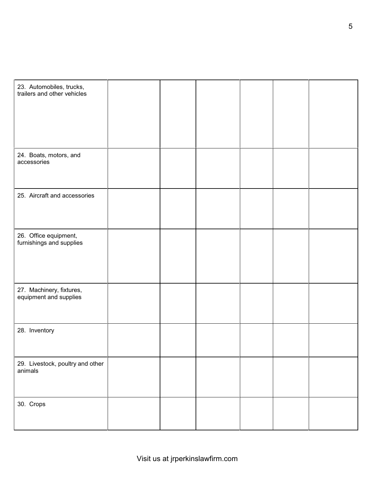| 23. Automobiles, trucks,<br>trailers and other vehicles |  |  |  |
|---------------------------------------------------------|--|--|--|
| 24. Boats, motors, and<br>accessories                   |  |  |  |
| 25. Aircraft and accessories                            |  |  |  |
| 26. Office equipment,<br>furnishings and supplies       |  |  |  |
| 27. Machinery, fixtures,<br>equipment and supplies      |  |  |  |
| 28. Inventory                                           |  |  |  |
| 29. Livestock, poultry and other<br>animals             |  |  |  |
| 30. Crops                                               |  |  |  |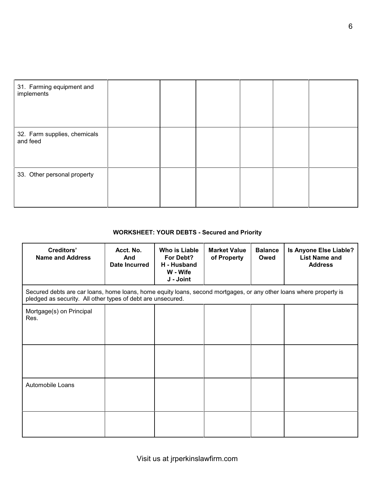| 31. Farming equipment and<br>implements  |  |  |  |
|------------------------------------------|--|--|--|
| 32. Farm supplies, chemicals<br>and feed |  |  |  |
| 33. Other personal property              |  |  |  |

# **WORKSHEET: YOUR DEBTS - Secured and Priority**

| <b>Creditors'</b><br><b>Name and Address</b> | Acct. No.<br>And<br><b>Date Incurred</b>                                                                                                                                          | <b>Who is Liable</b><br>For Debt?<br>H - Husband<br>W - Wife<br>J - Joint | <b>Market Value</b><br>of Property | <b>Balance</b><br>Owed | Is Anyone Else Liable?<br><b>List Name and</b><br><b>Address</b> |  |  |  |  |
|----------------------------------------------|-----------------------------------------------------------------------------------------------------------------------------------------------------------------------------------|---------------------------------------------------------------------------|------------------------------------|------------------------|------------------------------------------------------------------|--|--|--|--|
|                                              | Secured debts are car loans, home loans, home equity loans, second mortgages, or any other loans where property is<br>pledged as security. All other types of debt are unsecured. |                                                                           |                                    |                        |                                                                  |  |  |  |  |
| Mortgage(s) on Principal<br>Res.             |                                                                                                                                                                                   |                                                                           |                                    |                        |                                                                  |  |  |  |  |
| Automobile Loans                             |                                                                                                                                                                                   |                                                                           |                                    |                        |                                                                  |  |  |  |  |
|                                              |                                                                                                                                                                                   |                                                                           |                                    |                        |                                                                  |  |  |  |  |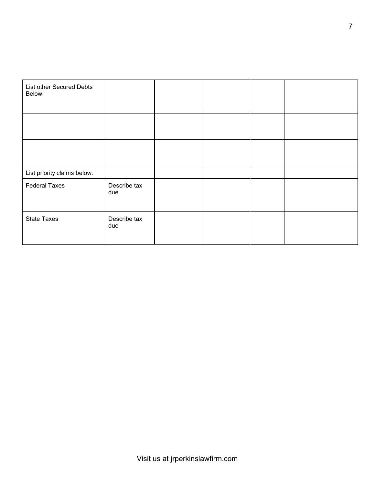| List other Secured Debts<br>Below: |                     |  |  |
|------------------------------------|---------------------|--|--|
|                                    |                     |  |  |
|                                    |                     |  |  |
| List priority claims below:        |                     |  |  |
| <b>Federal Taxes</b>               | Describe tax<br>due |  |  |
| <b>State Taxes</b>                 | Describe tax<br>due |  |  |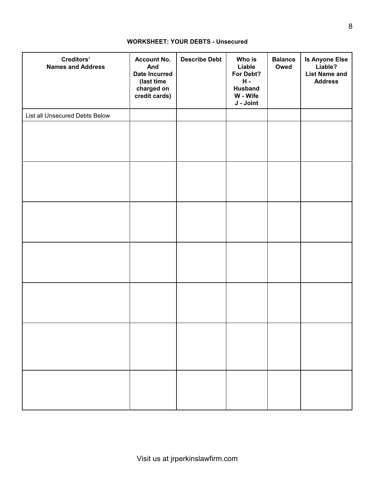### **WORKSHEET: YOUR DEBTS - Unsecured**

| Creditors'<br><b>Names and Address</b> | <b>Account No.</b><br>And<br><b>Date Incurred</b><br>(last time<br>charged on<br>credit cards) | <b>Describe Debt</b> | Who is<br>Liable<br>For Debt?<br>$H -$<br><b>Husband</b><br>W - Wife<br>J - Joint | <b>Balance</b><br>Owed | <b>Is Anyone Else</b><br>Liable?<br><b>List Name and</b><br><b>Address</b> |
|----------------------------------------|------------------------------------------------------------------------------------------------|----------------------|-----------------------------------------------------------------------------------|------------------------|----------------------------------------------------------------------------|
| List all Unsecured Debts Below         |                                                                                                |                      |                                                                                   |                        |                                                                            |
|                                        |                                                                                                |                      |                                                                                   |                        |                                                                            |
|                                        |                                                                                                |                      |                                                                                   |                        |                                                                            |
|                                        |                                                                                                |                      |                                                                                   |                        |                                                                            |
|                                        |                                                                                                |                      |                                                                                   |                        |                                                                            |
|                                        |                                                                                                |                      |                                                                                   |                        |                                                                            |
|                                        |                                                                                                |                      |                                                                                   |                        |                                                                            |
|                                        |                                                                                                |                      |                                                                                   |                        |                                                                            |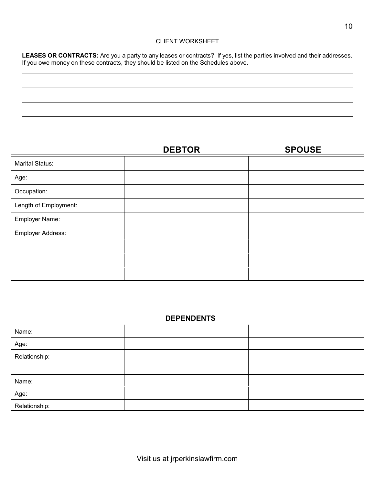### CLIENT WORKSHEET

**LEASES OR CONTRACTS:** Are you a party to any leases or contracts? If yes, list the parties involved and their addresses. If you owe money on these contracts, they should be listed on the Schedules above.

|                        | <b>DEBTOR</b> | <b>SPOUSE</b> |
|------------------------|---------------|---------------|
| <b>Marital Status:</b> |               |               |
| Age:                   |               |               |
| Occupation:            |               |               |
| Length of Employment:  |               |               |
| Employer Name:         |               |               |
| Employer Address:      |               |               |
|                        |               |               |
|                        |               |               |
|                        |               |               |

# **DEPENDENTS**

| Name:                                  |  |
|----------------------------------------|--|
| Age:                                   |  |
| Relationship:                          |  |
|                                        |  |
| Name:                                  |  |
| $\overbrace{\hspace{27mm}}^{}$<br>Age: |  |
| Relationship:                          |  |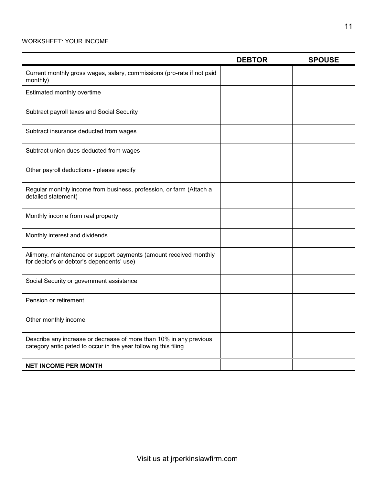### WORKSHEET: YOUR INCOME

|                                                                                                                                       | <b>DEBTOR</b> | <b>SPOUSE</b> |
|---------------------------------------------------------------------------------------------------------------------------------------|---------------|---------------|
| Current monthly gross wages, salary, commissions (pro-rate if not paid<br>monthly)                                                    |               |               |
| Estimated monthly overtime                                                                                                            |               |               |
| Subtract payroll taxes and Social Security                                                                                            |               |               |
| Subtract insurance deducted from wages                                                                                                |               |               |
| Subtract union dues deducted from wages                                                                                               |               |               |
| Other payroll deductions - please specify                                                                                             |               |               |
| Regular monthly income from business, profession, or farm (Attach a<br>detailed statement)                                            |               |               |
| Monthly income from real property                                                                                                     |               |               |
| Monthly interest and dividends                                                                                                        |               |               |
| Alimony, maintenance or support payments (amount received monthly<br>for debtor's or debtor's dependents' use)                        |               |               |
| Social Security or government assistance                                                                                              |               |               |
| Pension or retirement                                                                                                                 |               |               |
| Other monthly income                                                                                                                  |               |               |
| Describe any increase or decrease of more than 10% in any previous<br>category anticipated to occur in the year following this filing |               |               |
| <b>NET INCOME PER MONTH</b>                                                                                                           |               |               |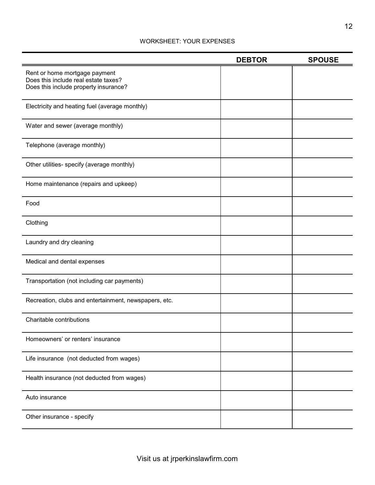### WORKSHEET: YOUR EXPENSES

|                                                                                                                | <b>DEBTOR</b> | <b>SPOUSE</b> |
|----------------------------------------------------------------------------------------------------------------|---------------|---------------|
| Rent or home mortgage payment<br>Does this include real estate taxes?<br>Does this include property insurance? |               |               |
| Electricity and heating fuel (average monthly)                                                                 |               |               |
| Water and sewer (average monthly)                                                                              |               |               |
| Telephone (average monthly)                                                                                    |               |               |
| Other utilities- specify (average monthly)                                                                     |               |               |
| Home maintenance (repairs and upkeep)                                                                          |               |               |
| Food                                                                                                           |               |               |
| Clothing                                                                                                       |               |               |
| Laundry and dry cleaning                                                                                       |               |               |
| Medical and dental expenses                                                                                    |               |               |
| Transportation (not including car payments)                                                                    |               |               |
| Recreation, clubs and entertainment, newspapers, etc.                                                          |               |               |
| Charitable contributions                                                                                       |               |               |
| Homeowners' or renters' insurance                                                                              |               |               |
| Life insurance (not deducted from wages)                                                                       |               |               |
| Health insurance (not deducted from wages)                                                                     |               |               |
| Auto insurance                                                                                                 |               |               |
| Other insurance - specify                                                                                      |               |               |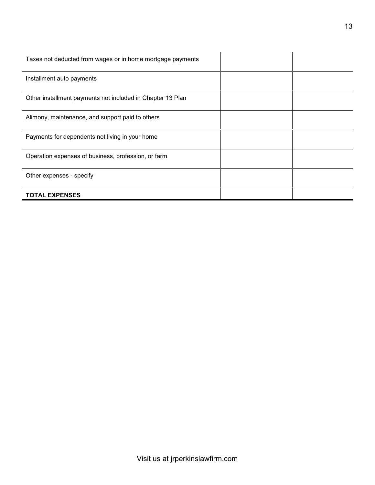| Taxes not deducted from wages or in home mortgage payments |  |
|------------------------------------------------------------|--|
| Installment auto payments                                  |  |
| Other installment payments not included in Chapter 13 Plan |  |
| Alimony, maintenance, and support paid to others           |  |
| Payments for dependents not living in your home            |  |
| Operation expenses of business, profession, or farm        |  |
| Other expenses - specify                                   |  |
| <b>TOTAL EXPENSES</b>                                      |  |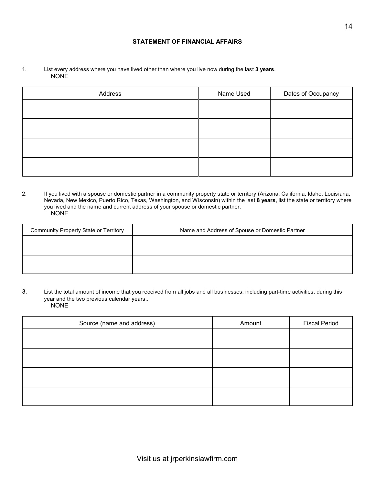### **STATEMENT OF FINANCIAL AFFAIRS**

1. List every address where you have lived other than where you live now during the last **3 years**. NONE

| Address | Name Used | Dates of Occupancy |
|---------|-----------|--------------------|
|         |           |                    |
|         |           |                    |
|         |           |                    |
|         |           |                    |
|         |           |                    |

2. If you lived with a spouse or domestic partner in a community property state or territory (Arizona, California, Idaho, Louisiana, Nevada, New Mexico, Puerto Rico, Texas, Washington, and Wisconsin) within the last **8 years**, list the state or territory where you lived and the name and current address of your spouse or domestic partner. NONE

| <b>Community Property State or Territory</b> | Name and Address of Spouse or Domestic Partner |
|----------------------------------------------|------------------------------------------------|
|                                              |                                                |
|                                              |                                                |
|                                              |                                                |
|                                              |                                                |

3. List the total amount of income that you received from all jobs and all businesses, including part-time activities, during this year and the two previous calendar years.. NONE

| Source (name and address) | Amount | <b>Fiscal Period</b> |
|---------------------------|--------|----------------------|
|                           |        |                      |
|                           |        |                      |
|                           |        |                      |
|                           |        |                      |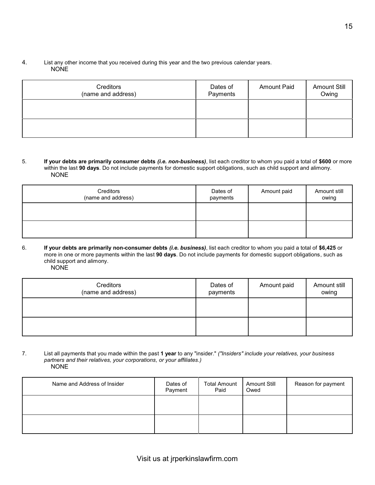### 4. List any other income that you received during this year and the two previous calendar years. NONE

| Creditors<br>(name and address) | Dates of<br>Payments | <b>Amount Paid</b> | <b>Amount Still</b><br>Owing |
|---------------------------------|----------------------|--------------------|------------------------------|
|                                 |                      |                    |                              |
|                                 |                      |                    |                              |

5. **If your debts are primarily consumer debts** *(i.e. non-business)*, list each creditor to whom you paid a total of **\$600** or more within the last **90 days**. Do not include payments for domestic support obligations, such as child support and alimony. NONE

| Creditors<br>(name and address) | Dates of<br>payments | Amount paid | Amount still<br>owing |
|---------------------------------|----------------------|-------------|-----------------------|
|                                 |                      |             |                       |
|                                 |                      |             |                       |

6. **If your debts are primarily non-consumer debts** *(i.e. business)*, list each creditor to whom you paid a total of **\$6,425** or more in one or more payments within the last **90 days**. Do not include payments for domestic support obligations, such as child support and alimony.  $\overline{N}$ 

|--|

| Creditors<br>(name and address) | Dates of<br>payments | Amount paid | Amount still<br>owing |
|---------------------------------|----------------------|-------------|-----------------------|
|                                 |                      |             |                       |
|                                 |                      |             |                       |

7. List all payments that you made within the past **1 year** to any "insider." *("Insiders" include your relatives, your business partners and their relatives, your corporations, or your affiliates.)* NONE

| Name and Address of Insider | Dates of<br>Payment | <b>Total Amount</b><br>Paid | <b>Amount Still</b><br>Owed | Reason for payment |
|-----------------------------|---------------------|-----------------------------|-----------------------------|--------------------|
|                             |                     |                             |                             |                    |
|                             |                     |                             |                             |                    |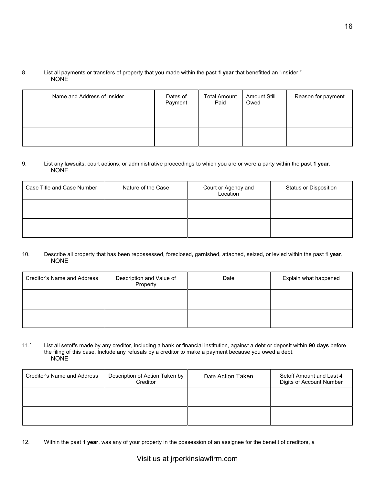### 8. List all payments or transfers of property that you made within the past **1 year** that benefitted an "insider." NONE

| Name and Address of Insider | Dates of<br>Payment | <b>Total Amount</b><br>Paid | <b>Amount Still</b><br>Owed | Reason for payment |
|-----------------------------|---------------------|-----------------------------|-----------------------------|--------------------|
|                             |                     |                             |                             |                    |
|                             |                     |                             |                             |                    |

#### 9. List any lawsuits, court actions, or administrative proceedings to which you are or were a party within the past **1 year**. NONE

| Case Title and Case Number | Nature of the Case | Court or Agency and<br>Location | Status or Disposition |
|----------------------------|--------------------|---------------------------------|-----------------------|
|                            |                    |                                 |                       |
|                            |                    |                                 |                       |

#### 10. Describe all property that has been repossessed, foreclosed, garnished, attached, seized, or levied within the past **1 year**. NONE

| Creditor's Name and Address | Description and Value of<br>Property | Date | Explain what happened |
|-----------------------------|--------------------------------------|------|-----------------------|
|                             |                                      |      |                       |
|                             |                                      |      |                       |

#### 11.` List all setoffs made by any creditor, including a bank or financial institution, against a debt or deposit within **90 days** before the filing of this case. Include any refusals by a creditor to make a payment because you owed a debt. NONE

| Creditor's Name and Address | Description of Action Taken by<br>Creditor | Date Action Taken | Setoff Amount and Last 4<br>Digits of Account Number |
|-----------------------------|--------------------------------------------|-------------------|------------------------------------------------------|
|                             |                                            |                   |                                                      |
|                             |                                            |                   |                                                      |

12. Within the past **1 year**, was any of your property in the possession of an assignee for the benefit of creditors, a

# Visit us at jrperkinslawfirm.com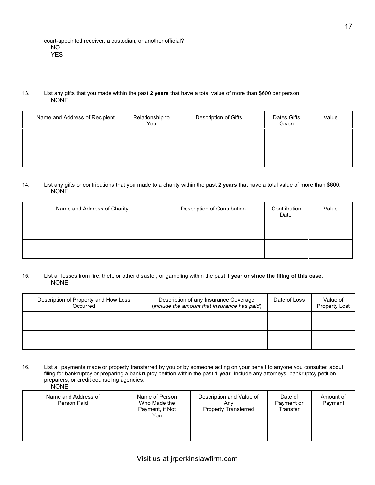#### 13. List any gifts that you made within the past **2 years** that have a total value of more than \$600 per person. NONE

| Name and Address of Recipient | Relationship to<br>You | Description of Gifts | Dates Gifts<br>Given | Value |
|-------------------------------|------------------------|----------------------|----------------------|-------|
|                               |                        |                      |                      |       |
|                               |                        |                      |                      |       |

#### 14. List any gifts or contributions that you made to a charity within the past **2 years** that have a total value of more than \$600. NONE

| Name and Address of Charity | Description of Contribution | Contribution<br>Date | Value |
|-----------------------------|-----------------------------|----------------------|-------|
|                             |                             |                      |       |
|                             |                             |                      |       |

#### 15. List all losses from fire, theft, or other disaster, or gambling within the past **1 year or since the filing of this case.** NONE

| Description of Property and How Loss<br>Occurred | Description of any Insurance Coverage<br>(include the amount that insurance has paid) | Date of Loss | Value of<br><b>Property Lost</b> |
|--------------------------------------------------|---------------------------------------------------------------------------------------|--------------|----------------------------------|
|                                                  |                                                                                       |              |                                  |
|                                                  |                                                                                       |              |                                  |

16. List all payments made or property transferred by you or by someone acting on your behalf to anyone you consulted about filing for bankruptcy or preparing a bankruptcy petition within the past **1 year**. Include any attorneys, bankruptcy petition preparers, or credit counseling agencies. NONE

| Name and Address of<br>Person Paid | Name of Person<br>Who Made the<br>Payment, if Not<br>You | Description and Value of<br>Anv<br><b>Property Transferred</b> | Date of<br>Payment or<br>Transfer | Amount of<br>Payment |
|------------------------------------|----------------------------------------------------------|----------------------------------------------------------------|-----------------------------------|----------------------|
|                                    |                                                          |                                                                |                                   |                      |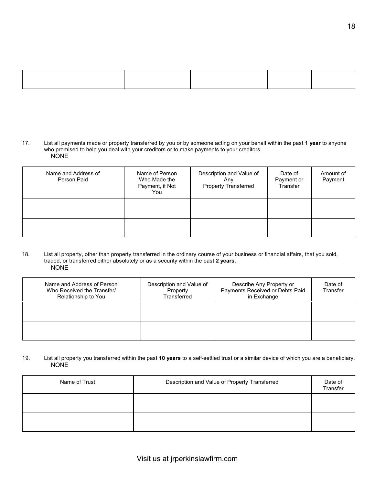<sup>17.</sup> List all payments made or property transferred by you or by someone acting on your behalf within the past **1 year** to anyone who promised to help you deal with your creditors or to make payments to your creditors. NONE

| Name and Address of<br>Person Paid | Name of Person<br>Who Made the<br>Payment, if Not<br>You | Description and Value of<br>Anv<br><b>Property Transferred</b> | Date of<br>Payment or<br>Transfer | Amount of<br>Payment |
|------------------------------------|----------------------------------------------------------|----------------------------------------------------------------|-----------------------------------|----------------------|
|                                    |                                                          |                                                                |                                   |                      |
|                                    |                                                          |                                                                |                                   |                      |

18. List all property, other than property transferred in the ordinary course of your business or financial affairs, that you sold, traded, or transferred either absolutely or as a security within the past **2 years**. NONE

| Name and Address of Person<br>Who Received the Transfer/<br>Relationship to You | Description and Value of<br>Property<br>Transferred | Describe Any Property or<br>Payments Received or Debts Paid<br>in Exchange | Date of<br>Transfer |
|---------------------------------------------------------------------------------|-----------------------------------------------------|----------------------------------------------------------------------------|---------------------|
|                                                                                 |                                                     |                                                                            |                     |
|                                                                                 |                                                     |                                                                            |                     |

#### 19. List all property you transferred within the past **10 years** to a self-settled trust or a similar device of which you are a beneficiary. NONE

| Name of Trust | Description and Value of Property Transferred | Date of<br>Transfer |
|---------------|-----------------------------------------------|---------------------|
|               |                                               |                     |
|               |                                               |                     |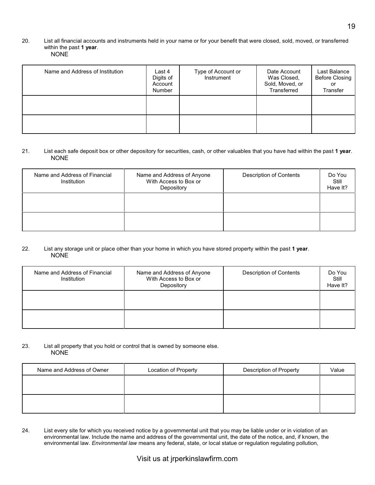#### 20. List all financial accounts and instruments held in your name or for your benefit that were closed, sold, moved, or transferred within the past **1 year**. NONE

| Name and Address of Institution | Last 4<br>Digits of<br>Account<br>Number | Type of Account or<br>Instrument | Date Account<br>Was Closed,<br>Sold, Moved, or<br>Transferred | Last Balance<br><b>Before Closing</b><br>or<br>Transfer |
|---------------------------------|------------------------------------------|----------------------------------|---------------------------------------------------------------|---------------------------------------------------------|
|                                 |                                          |                                  |                                                               |                                                         |
|                                 |                                          |                                  |                                                               |                                                         |

#### 21. List each safe deposit box or other depository for securities, cash, or other valuables that you have had within the past **1 year**. NONE

| Name and Address of Financial<br>Institution | Name and Address of Anyone<br>With Access to Box or<br>Depository | <b>Description of Contents</b> | Do You<br>Still<br>Have It? |
|----------------------------------------------|-------------------------------------------------------------------|--------------------------------|-----------------------------|
|                                              |                                                                   |                                |                             |
|                                              |                                                                   |                                |                             |

#### 22. List any storage unit or place other than your home in which you have stored property within the past **1 year**. NONE

| Name and Address of Financial<br>Institution | Name and Address of Anyone<br>With Access to Box or<br>Depository | <b>Description of Contents</b> | Do You<br>Still<br>Have It? |
|----------------------------------------------|-------------------------------------------------------------------|--------------------------------|-----------------------------|
|                                              |                                                                   |                                |                             |
|                                              |                                                                   |                                |                             |

#### 23. List all property that you hold or control that is owned by someone else. NONE

| Name and Address of Owner | Location of Property | <b>Description of Property</b> | Value |
|---------------------------|----------------------|--------------------------------|-------|
|                           |                      |                                |       |
|                           |                      |                                |       |
|                           |                      |                                |       |
|                           |                      |                                |       |

24. List every site for which you received notice by a governmental unit that you may be liable under or in violation of an environmental law. Include the name and address of the governmental unit, the date of the notice, and, if known, the environmental law. *Environmental law* means any federal, state, or local statue or regulation regulating pollution,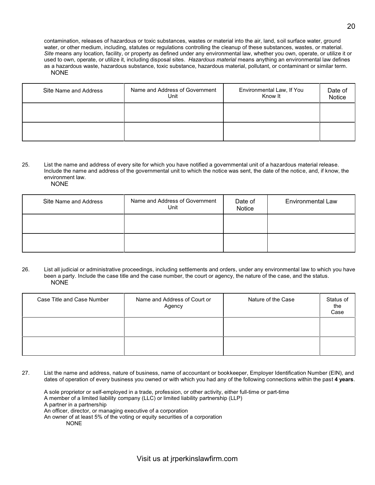contamination, releases of hazardous or toxic substances, wastes or material into the air, land, soil surface water, ground water, or other medium, including, statutes or regulations controlling the cleanup of these substances, wastes, or material. *Site* means any location, facility, or property as defined under any environmental law, whether you own, operate, or utilize it or used to own, operate, or utilize it, including disposal sites. *Hazardous material* means anything an environmental law defines as a hazardous waste, hazardous substance, toxic substance, hazardous material, pollutant, or contaminant or similar term. NONE

| Site Name and Address | Name and Address of Government<br>Unit | Environmental Law, If You<br>Know It | Date of<br>Notice |
|-----------------------|----------------------------------------|--------------------------------------|-------------------|
|                       |                                        |                                      |                   |
|                       |                                        |                                      |                   |

25. List the name and address of every site for which you have notified a governmental unit of a hazardous material release. Include the name and address of the governmental unit to which the notice was sent, the date of the notice, and, if know, the environment law.

| Site Name and Address | Name and Address of Government<br>Unit | Date of<br>Notice | <b>Environmental Law</b> |
|-----------------------|----------------------------------------|-------------------|--------------------------|
|                       |                                        |                   |                          |
|                       |                                        |                   |                          |

26. List all judicial or administrative proceedings, including settlements and orders, under any environmental law to which you have been a party. Include the case title and the case number, the court or agency, the nature of the case, and the status. NONE

| Case Title and Case Number | Name and Address of Court or<br>Agency | Nature of the Case | Status of<br>the<br>Case |
|----------------------------|----------------------------------------|--------------------|--------------------------|
|                            |                                        |                    |                          |
|                            |                                        |                    |                          |

27. List the name and address, nature of business, name of accountant or bookkeeper, Employer Identification Number (EIN), and dates of operation of every business you owned or with which you had any of the following connections within the past **4 years**.

A sole proprietor or self-employed in a trade, profession, or other activity, either full-time or part-time A member of a limited liability company (LLC) or limited liability partnership (LLP) A partner in a partnership An officer, director, or managing executive of a corporation An owner of at least 5% of the voting or equity securities of a corporation NONE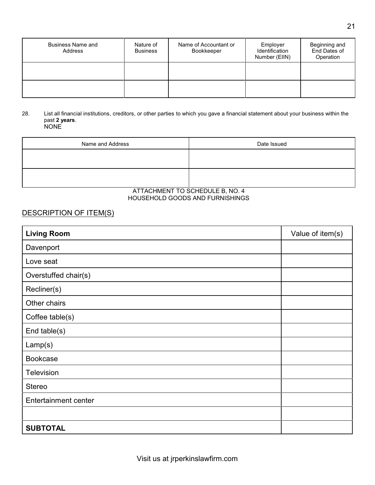| <b>Business Name and</b><br>Address | Nature of<br><b>Business</b> | Name of Accountant or<br>Bookkeeper | Employer<br>Identification<br>Number (EIIN) | Beginning and<br>End Dates of<br>Operation |
|-------------------------------------|------------------------------|-------------------------------------|---------------------------------------------|--------------------------------------------|
|                                     |                              |                                     |                                             |                                            |
|                                     |                              |                                     |                                             |                                            |

#### 28. List all financial institutions, creditors, or other parties to which you gave a financial statement about your business within the past **2 years**.  $\overline{N}$

| Name and Address | Date Issued                                           |
|------------------|-------------------------------------------------------|
|                  |                                                       |
|                  |                                                       |
|                  |                                                       |
|                  |                                                       |
|                  | $ATT A O U B I T A T T T O O Q U T D U L T D A O Q A$ |

#### ATTACHMENT TO SCHEDULE B, NO. 4 HOUSEHOLD GOODS AND FURNISHINGS

# DESCRIPTION OF ITEM(S)

| <b>Living Room</b>          | Value of item(s) |
|-----------------------------|------------------|
| Davenport                   |                  |
| Love seat                   |                  |
| Overstuffed chair(s)        |                  |
| Recliner(s)                 |                  |
| Other chairs                |                  |
| Coffee table(s)             |                  |
| End table(s)                |                  |
| Lamp(s)                     |                  |
| <b>Bookcase</b>             |                  |
| Television                  |                  |
| <b>Stereo</b>               |                  |
| <b>Entertainment center</b> |                  |
|                             |                  |
| <b>SUBTOTAL</b>             |                  |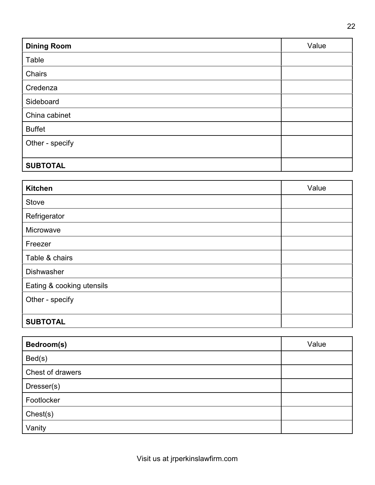| <b>Dining Room</b> | Value |
|--------------------|-------|
| Table              |       |
| Chairs             |       |
| Credenza           |       |
| Sideboard          |       |
| China cabinet      |       |
| <b>Buffet</b>      |       |
| Other - specify    |       |
|                    |       |
| <b>SUBTOTAL</b>    |       |

| <b>Kitchen</b>            | Value |
|---------------------------|-------|
| Stove                     |       |
| Refrigerator              |       |
| Microwave                 |       |
| Freezer                   |       |
| Table & chairs            |       |
| Dishwasher                |       |
| Eating & cooking utensils |       |
| Other - specify           |       |
|                           |       |
| <b>SUBTOTAL</b>           |       |

| Bedroom(s)       | Value |
|------------------|-------|
| Bed(s)           |       |
| Chest of drawers |       |
| Dresser(s)       |       |
| Footlocker       |       |
| Check(s)         |       |
| Vanity           |       |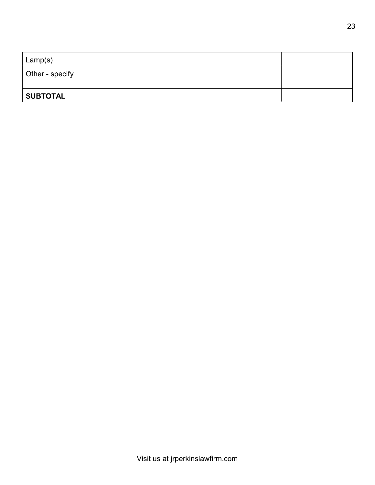| Lamp(s)         |  |
|-----------------|--|
| Other - specify |  |
|                 |  |
| <b>SUBTOTAL</b> |  |
|                 |  |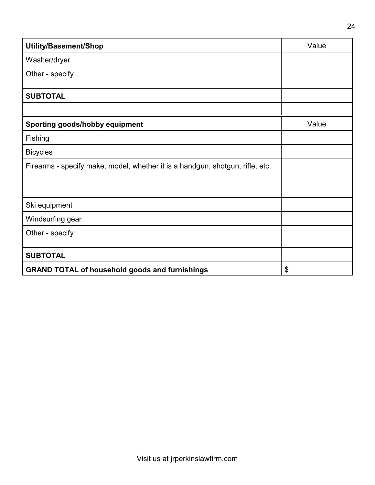| Utility/Basement/Shop                                                         | Value |
|-------------------------------------------------------------------------------|-------|
| Washer/dryer                                                                  |       |
| Other - specify                                                               |       |
| <b>SUBTOTAL</b>                                                               |       |
|                                                                               |       |
| <b>Sporting goods/hobby equipment</b>                                         | Value |
| Fishing                                                                       |       |
| <b>Bicycles</b>                                                               |       |
| Firearms - specify make, model, whether it is a handgun, shotgun, rifle, etc. |       |
| Ski equipment                                                                 |       |
| Windsurfing gear                                                              |       |
| Other - specify                                                               |       |
| <b>SUBTOTAL</b>                                                               |       |
| <b>GRAND TOTAL of household goods and furnishings</b>                         | \$    |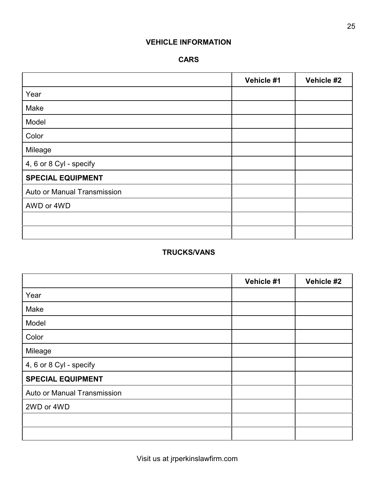# **VEHICLE INFORMATION**

# **CARS**

|                             | Vehicle #1 | Vehicle #2 |
|-----------------------------|------------|------------|
| Year                        |            |            |
| Make                        |            |            |
| Model                       |            |            |
| Color                       |            |            |
| Mileage                     |            |            |
| 4, 6 or 8 Cyl - specify     |            |            |
| <b>SPECIAL EQUIPMENT</b>    |            |            |
| Auto or Manual Transmission |            |            |
| AWD or 4WD                  |            |            |
|                             |            |            |
|                             |            |            |

# **TRUCKS/VANS**

|                             | Vehicle #1 | Vehicle #2 |
|-----------------------------|------------|------------|
| Year                        |            |            |
| Make                        |            |            |
| Model                       |            |            |
| Color                       |            |            |
| Mileage                     |            |            |
| 4, 6 or 8 Cyl - specify     |            |            |
| <b>SPECIAL EQUIPMENT</b>    |            |            |
| Auto or Manual Transmission |            |            |
| 2WD or 4WD                  |            |            |
|                             |            |            |
|                             |            |            |